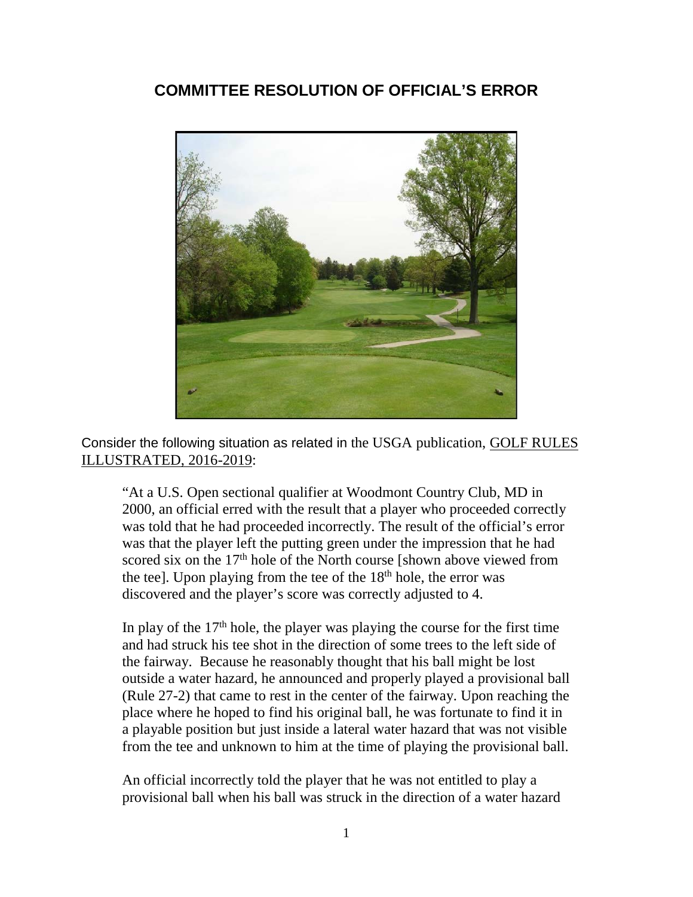# **COMMITTEE RESOLUTION OF OFFICIAL'S ERROR**



Consider the following situation as related in the USGA publication, GOLF RULES ILLUSTRATED, 2016-2019:

"At a U.S. Open sectional qualifier at Woodmont Country Club, MD in 2000, an official erred with the result that a player who proceeded correctly was told that he had proceeded incorrectly. The result of the official's error was that the player left the putting green under the impression that he had scored six on the  $17<sup>th</sup>$  hole of the North course [shown above viewed from the tee]. Upon playing from the tee of the  $18<sup>th</sup>$  hole, the error was discovered and the player's score was correctly adjusted to 4.

In play of the  $17<sup>th</sup>$  hole, the player was playing the course for the first time and had struck his tee shot in the direction of some trees to the left side of the fairway. Because he reasonably thought that his ball might be lost outside a water hazard, he announced and properly played a provisional ball (Rule 27-2) that came to rest in the center of the fairway. Upon reaching the place where he hoped to find his original ball, he was fortunate to find it in a playable position but just inside a lateral water hazard that was not visible from the tee and unknown to him at the time of playing the provisional ball.

An official incorrectly told the player that he was not entitled to play a provisional ball when his ball was struck in the direction of a water hazard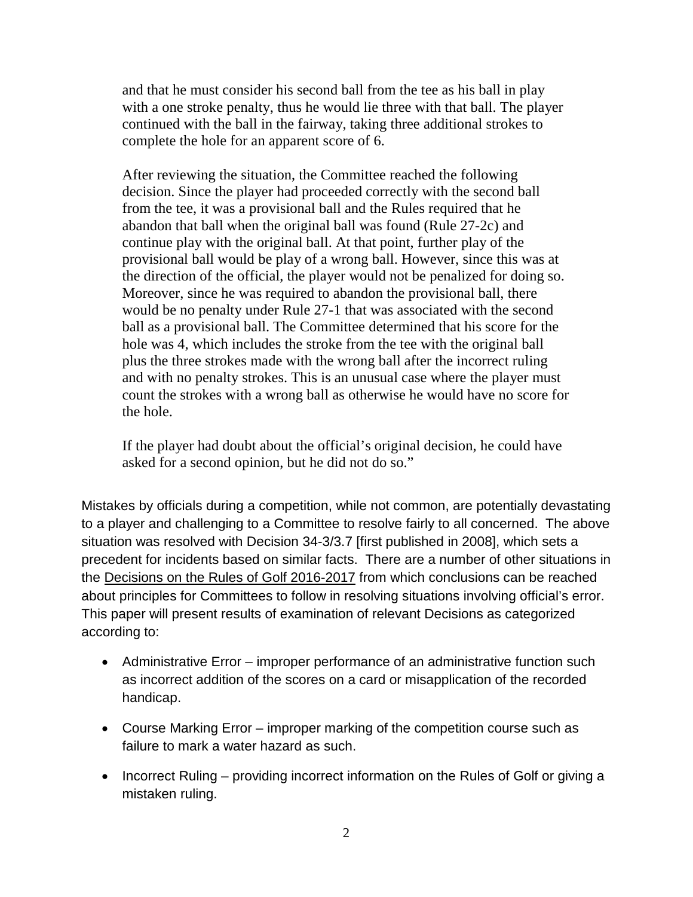and that he must consider his second ball from the tee as his ball in play with a one stroke penalty, thus he would lie three with that ball. The player continued with the ball in the fairway, taking three additional strokes to complete the hole for an apparent score of 6.

After reviewing the situation, the Committee reached the following decision. Since the player had proceeded correctly with the second ball from the tee, it was a provisional ball and the Rules required that he abandon that ball when the original ball was found (Rule 27-2c) and continue play with the original ball. At that point, further play of the provisional ball would be play of a wrong ball. However, since this was at the direction of the official, the player would not be penalized for doing so. Moreover, since he was required to abandon the provisional ball, there would be no penalty under Rule 27-1 that was associated with the second ball as a provisional ball. The Committee determined that his score for the hole was 4, which includes the stroke from the tee with the original ball plus the three strokes made with the wrong ball after the incorrect ruling and with no penalty strokes. This is an unusual case where the player must count the strokes with a wrong ball as otherwise he would have no score for the hole.

If the player had doubt about the official's original decision, he could have asked for a second opinion, but he did not do so."

Mistakes by officials during a competition, while not common, are potentially devastating to a player and challenging to a Committee to resolve fairly to all concerned. The above situation was resolved with Decision 34-3/3.7 [first published in 2008], which sets a precedent for incidents based on similar facts. There are a number of other situations in the Decisions on the Rules of Golf 2016-2017 from which conclusions can be reached about principles for Committees to follow in resolving situations involving official's error. This paper will present results of examination of relevant Decisions as categorized according to:

- Administrative Error improper performance of an administrative function such as incorrect addition of the scores on a card or misapplication of the recorded handicap.
- Course Marking Error improper marking of the competition course such as failure to mark a water hazard as such.
- Incorrect Ruling providing incorrect information on the Rules of Golf or giving a mistaken ruling.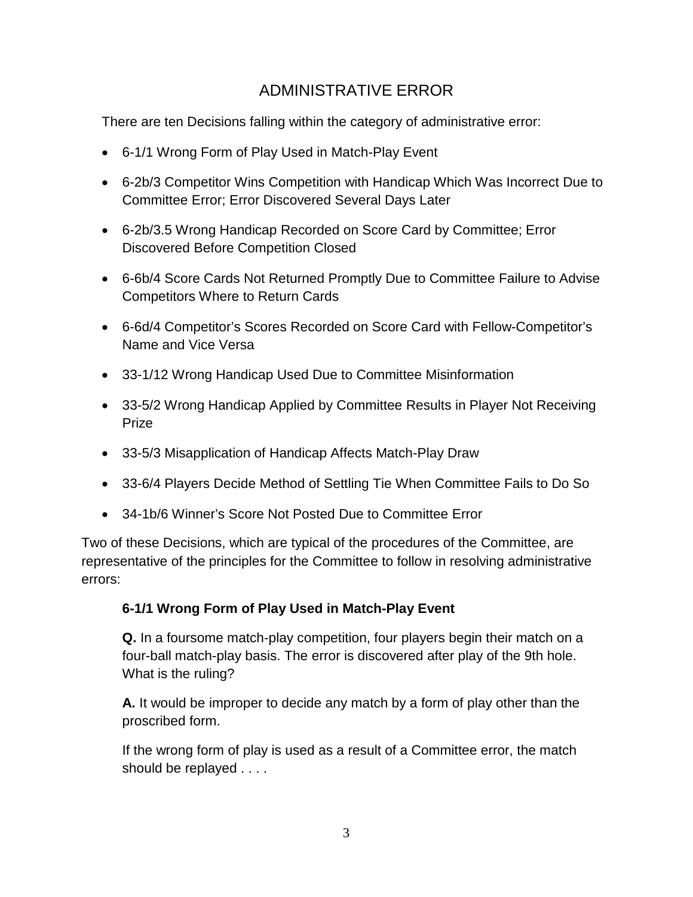# ADMINISTRATIVE ERROR

There are ten Decisions falling within the category of administrative error:

- 6-1/1 Wrong Form of Play Used in Match-Play Event
- 6-2b/3 Competitor Wins Competition with Handicap Which Was Incorrect Due to Committee Error; Error Discovered Several Days Later
- 6-2b/3.5 Wrong Handicap Recorded on Score Card by Committee; Error Discovered Before Competition Closed
- 6-6b/4 Score Cards Not Returned Promptly Due to Committee Failure to Advise Competitors Where to Return Cards
- 6-6d/4 Competitor's Scores Recorded on Score Card with Fellow-Competitor's Name and Vice Versa
- 33-1/12 Wrong Handicap Used Due to Committee Misinformation
- 33-5/2 Wrong Handicap Applied by Committee Results in Player Not Receiving Prize
- 33-5/3 Misapplication of Handicap Affects Match-Play Draw
- 33-6/4 Players Decide Method of Settling Tie When Committee Fails to Do So
- 34-1b/6 Winner's Score Not Posted Due to Committee Error

Two of these Decisions, which are typical of the procedures of the Committee, are representative of the principles for the Committee to follow in resolving administrative errors:

#### **6-1/1 Wrong Form of Play Used in Match-Play Event**

**Q.** In a foursome match-play competition, four players begin their match on a four-ball match-play basis. The error is discovered after play of the 9th hole. What is the ruling?

**A.** It would be improper to decide any match by a form of play other than the proscribed form.

If the wrong form of play is used as a result of a Committee error, the match should be replayed . . . .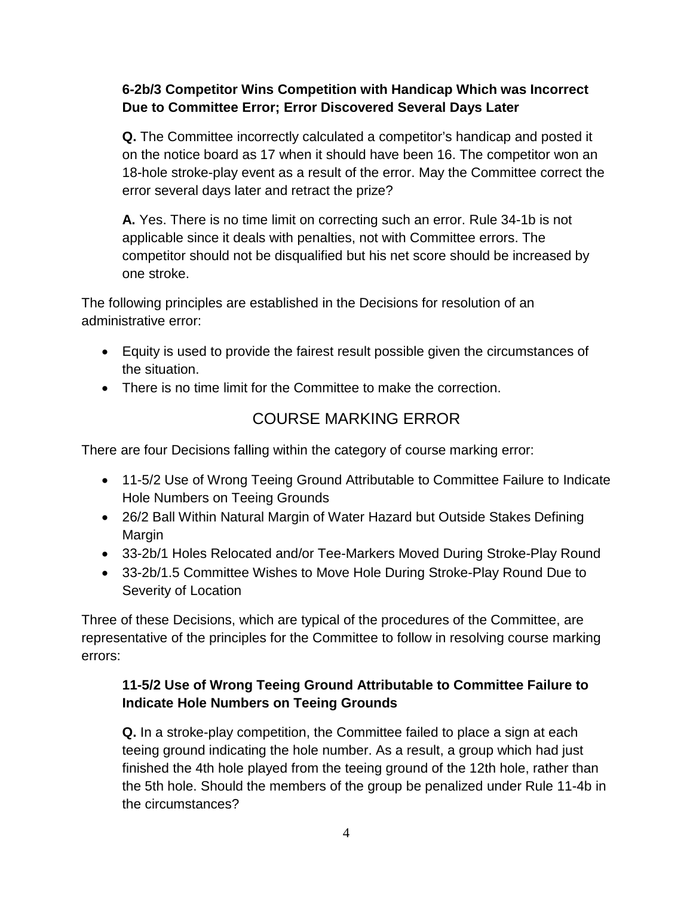### **6-2b/3 Competitor Wins Competition with Handicap Which was Incorrect Due to Committee Error; Error Discovered Several Days Later**

**Q.** The Committee incorrectly calculated a competitor's handicap and posted it on the notice board as 17 when it should have been 16. The competitor won an 18-hole stroke-play event as a result of the error. May the Committee correct the error several days later and retract the prize?

**A.** Yes. There is no time limit on correcting such an error. Rule 34-1b is not applicable since it deals with penalties, not with Committee errors. The competitor should not be disqualified but his net score should be increased by one stroke.

The following principles are established in the Decisions for resolution of an administrative error:

- Equity is used to provide the fairest result possible given the circumstances of the situation.
- There is no time limit for the Committee to make the correction.

# COURSE MARKING ERROR

There are four Decisions falling within the category of course marking error:

- 11-5/2 Use of Wrong Teeing Ground Attributable to Committee Failure to Indicate Hole Numbers on Teeing Grounds
- 26/2 Ball Within Natural Margin of Water Hazard but Outside Stakes Defining Margin
- 33-2b/1 Holes Relocated and/or Tee-Markers Moved During Stroke-Play Round
- 33-2b/1.5 Committee Wishes to Move Hole During Stroke-Play Round Due to Severity of Location

Three of these Decisions, which are typical of the procedures of the Committee, are representative of the principles for the Committee to follow in resolving course marking errors:

## **11-5/2 Use of Wrong Teeing Ground Attributable to Committee Failure to Indicate Hole Numbers on Teeing Grounds**

**Q.** In a stroke-play competition, the Committee failed to place a sign at each teeing ground indicating the hole number. As a result, a group which had just finished the 4th hole played from the teeing ground of the 12th hole, rather than the 5th hole. Should the members of the group be penalized under Rule 11-4b in the circumstances?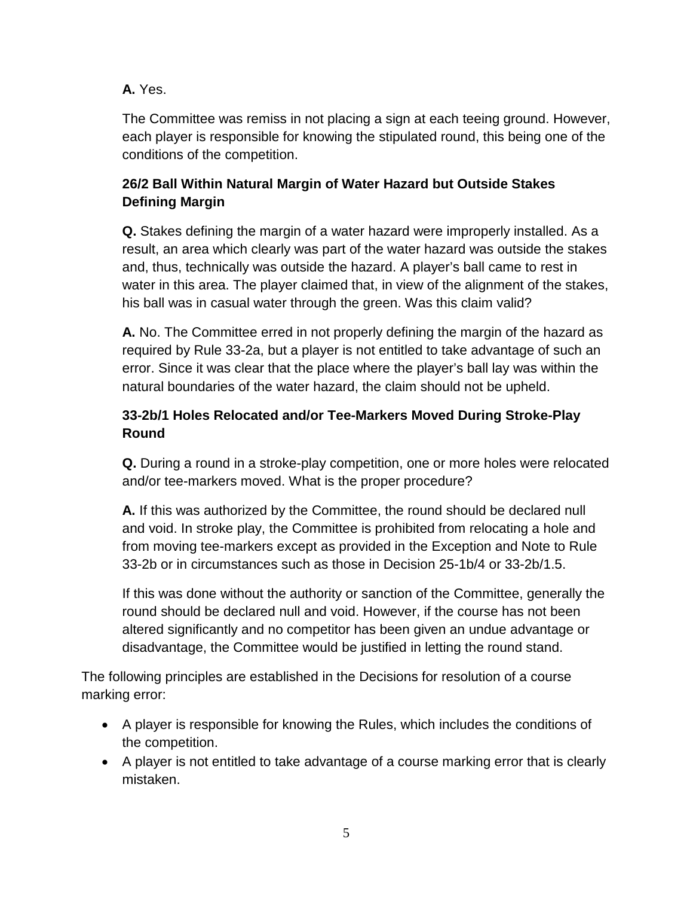### **A.** Yes.

The Committee was remiss in not placing a sign at each teeing ground. However, each player is responsible for knowing the stipulated round, this being one of the conditions of the competition.

### **26/2 Ball Within Natural Margin of Water Hazard but Outside Stakes Defining Margin**

**Q.** Stakes defining the margin of a water hazard were improperly installed. As a result, an area which clearly was part of the water hazard was outside the stakes and, thus, technically was outside the hazard. A player's ball came to rest in water in this area. The player claimed that, in view of the alignment of the stakes, his ball was in casual water through the green. Was this claim valid?

**A.** No. The Committee erred in not properly defining the margin of the hazard as required by Rule 33-2a, but a player is not entitled to take advantage of such an error. Since it was clear that the place where the player's ball lay was within the natural boundaries of the water hazard, the claim should not be upheld.

## **33-2b/1 Holes Relocated and/or Tee-Markers Moved During Stroke-Play Round**

**Q.** During a round in a stroke-play competition, one or more holes were relocated and/or tee-markers moved. What is the proper procedure?

**A.** If this was authorized by the Committee, the round should be declared null and void. In stroke play, the Committee is prohibited from relocating a hole and from moving tee-markers except as provided in the Exception and Note to Rule 33-2b or in circumstances such as those in Decision 25-1b/4 or 33-2b/1.5.

If this was done without the authority or sanction of the Committee, generally the round should be declared null and void. However, if the course has not been altered significantly and no competitor has been given an undue advantage or disadvantage, the Committee would be justified in letting the round stand.

The following principles are established in the Decisions for resolution of a course marking error:

- A player is responsible for knowing the Rules, which includes the conditions of the competition.
- A player is not entitled to take advantage of a course marking error that is clearly mistaken.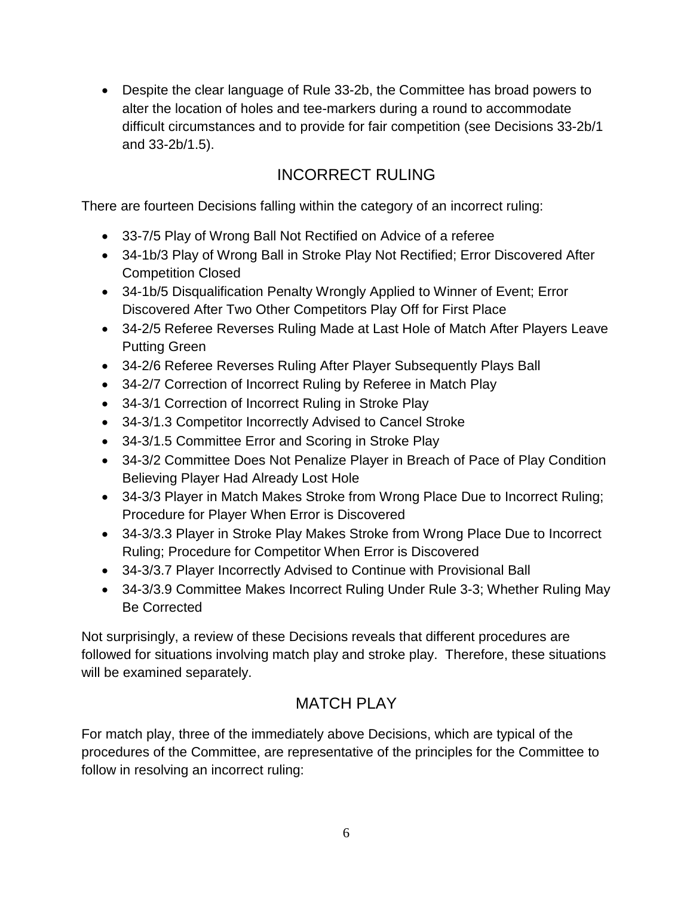• Despite the clear language of Rule 33-2b, the Committee has broad powers to alter the location of holes and tee-markers during a round to accommodate difficult circumstances and to provide for fair competition (see Decisions 33-2b/1 and 33-2b/1.5).

# INCORRECT RULING

There are fourteen Decisions falling within the category of an incorrect ruling:

- 33-7/5 Play of Wrong Ball Not Rectified on Advice of a referee
- 34-1b/3 Play of Wrong Ball in Stroke Play Not Rectified; Error Discovered After Competition Closed
- 34-1b/5 Disqualification Penalty Wrongly Applied to Winner of Event; Error Discovered After Two Other Competitors Play Off for First Place
- 34-2/5 Referee Reverses Ruling Made at Last Hole of Match After Players Leave Putting Green
- 34-2/6 Referee Reverses Ruling After Player Subsequently Plays Ball
- 34-2/7 Correction of Incorrect Ruling by Referee in Match Play
- 34-3/1 Correction of Incorrect Ruling in Stroke Play
- 34-3/1.3 Competitor Incorrectly Advised to Cancel Stroke
- 34-3/1.5 Committee Error and Scoring in Stroke Play
- 34-3/2 Committee Does Not Penalize Player in Breach of Pace of Play Condition Believing Player Had Already Lost Hole
- 34-3/3 Player in Match Makes Stroke from Wrong Place Due to Incorrect Ruling; Procedure for Player When Error is Discovered
- 34-3/3.3 Player in Stroke Play Makes Stroke from Wrong Place Due to Incorrect Ruling; Procedure for Competitor When Error is Discovered
- 34-3/3.7 Player Incorrectly Advised to Continue with Provisional Ball
- 34-3/3.9 Committee Makes Incorrect Ruling Under Rule 3-3; Whether Ruling May Be Corrected

Not surprisingly, a review of these Decisions reveals that different procedures are followed for situations involving match play and stroke play. Therefore, these situations will be examined separately.

# MATCH PLAY

For match play, three of the immediately above Decisions, which are typical of the procedures of the Committee, are representative of the principles for the Committee to follow in resolving an incorrect ruling: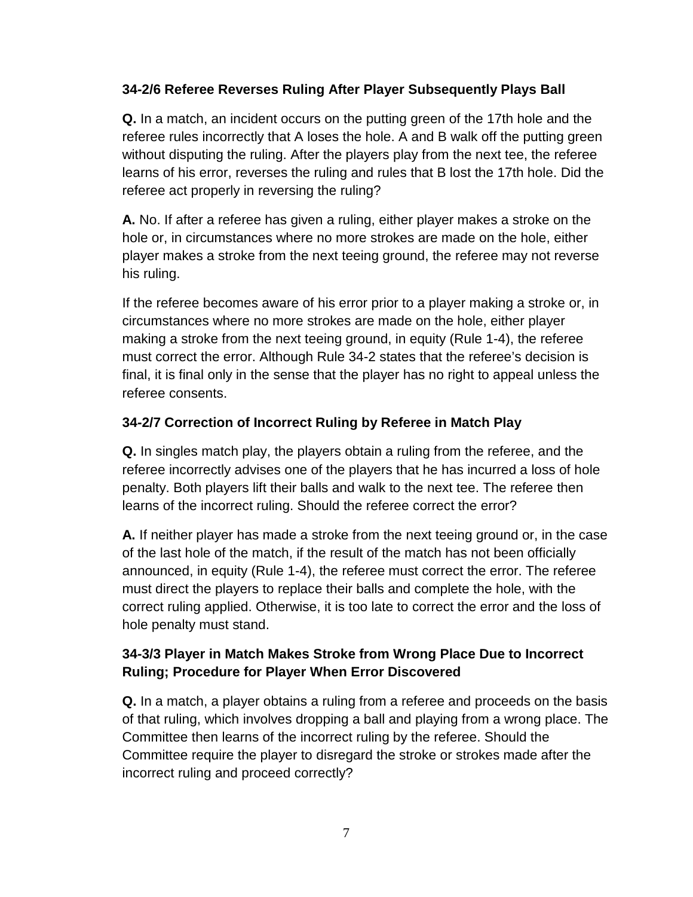#### **34-2/6 Referee Reverses Ruling After Player Subsequently Plays Ball**

**Q.** In a match, an incident occurs on the putting green of the 17th hole and the referee rules incorrectly that A loses the hole. A and B walk off the putting green without disputing the ruling. After the players play from the next tee, the referee learns of his error, reverses the ruling and rules that B lost the 17th hole. Did the referee act properly in reversing the ruling?

**A.** No. If after a referee has given a ruling, either player makes a stroke on the hole or, in circumstances where no more strokes are made on the hole, either player makes a stroke from the next teeing ground, the referee may not reverse his ruling.

If the referee becomes aware of his error prior to a player making a stroke or, in circumstances where no more strokes are made on the hole, either player making a stroke from the next teeing ground, in equity (Rule 1-4), the referee must correct the error. Although Rule 34-2 states that the referee's decision is final, it is final only in the sense that the player has no right to appeal unless the referee consents.

### **34-2/7 Correction of Incorrect Ruling by Referee in Match Play**

**Q.** In singles match play, the players obtain a ruling from the referee, and the referee incorrectly advises one of the players that he has incurred a loss of hole penalty. Both players lift their balls and walk to the next tee. The referee then learns of the incorrect ruling. Should the referee correct the error?

**A.** If neither player has made a stroke from the next teeing ground or, in the case of the last hole of the match, if the result of the match has not been officially announced, in equity (Rule 1-4), the referee must correct the error. The referee must direct the players to replace their balls and complete the hole, with the correct ruling applied. Otherwise, it is too late to correct the error and the loss of hole penalty must stand.

### **34-3/3 Player in Match Makes Stroke from Wrong Place Due to Incorrect Ruling; Procedure for Player When Error Discovered**

**Q.** In a match, a player obtains a ruling from a referee and proceeds on the basis of that ruling, which involves dropping a ball and playing from a wrong place. The Committee then learns of the incorrect ruling by the referee. Should the Committee require the player to disregard the stroke or strokes made after the incorrect ruling and proceed correctly?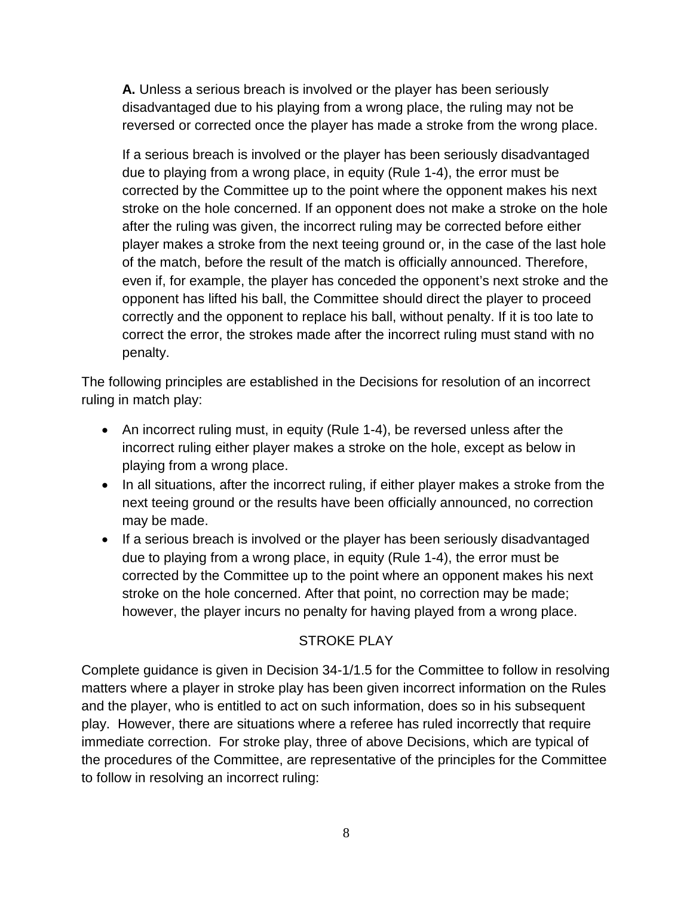**A.** Unless a serious breach is involved or the player has been seriously disadvantaged due to his playing from a wrong place, the ruling may not be reversed or corrected once the player has made a stroke from the wrong place.

If a serious breach is involved or the player has been seriously disadvantaged due to playing from a wrong place, in equity (Rule 1-4), the error must be corrected by the Committee up to the point where the opponent makes his next stroke on the hole concerned. If an opponent does not make a stroke on the hole after the ruling was given, the incorrect ruling may be corrected before either player makes a stroke from the next teeing ground or, in the case of the last hole of the match, before the result of the match is officially announced. Therefore, even if, for example, the player has conceded the opponent's next stroke and the opponent has lifted his ball, the Committee should direct the player to proceed correctly and the opponent to replace his ball, without penalty. If it is too late to correct the error, the strokes made after the incorrect ruling must stand with no penalty.

The following principles are established in the Decisions for resolution of an incorrect ruling in match play:

- An incorrect ruling must, in equity (Rule 1-4), be reversed unless after the incorrect ruling either player makes a stroke on the hole, except as below in playing from a wrong place.
- In all situations, after the incorrect ruling, if either player makes a stroke from the next teeing ground or the results have been officially announced, no correction may be made.
- If a serious breach is involved or the player has been seriously disadvantaged due to playing from a wrong place, in equity (Rule 1-4), the error must be corrected by the Committee up to the point where an opponent makes his next stroke on the hole concerned. After that point, no correction may be made; however, the player incurs no penalty for having played from a wrong place.

### STROKE PLAY

Complete guidance is given in Decision 34-1/1.5 for the Committee to follow in resolving matters where a player in stroke play has been given incorrect information on the Rules and the player, who is entitled to act on such information, does so in his subsequent play. However, there are situations where a referee has ruled incorrectly that require immediate correction. For stroke play, three of above Decisions, which are typical of the procedures of the Committee, are representative of the principles for the Committee to follow in resolving an incorrect ruling: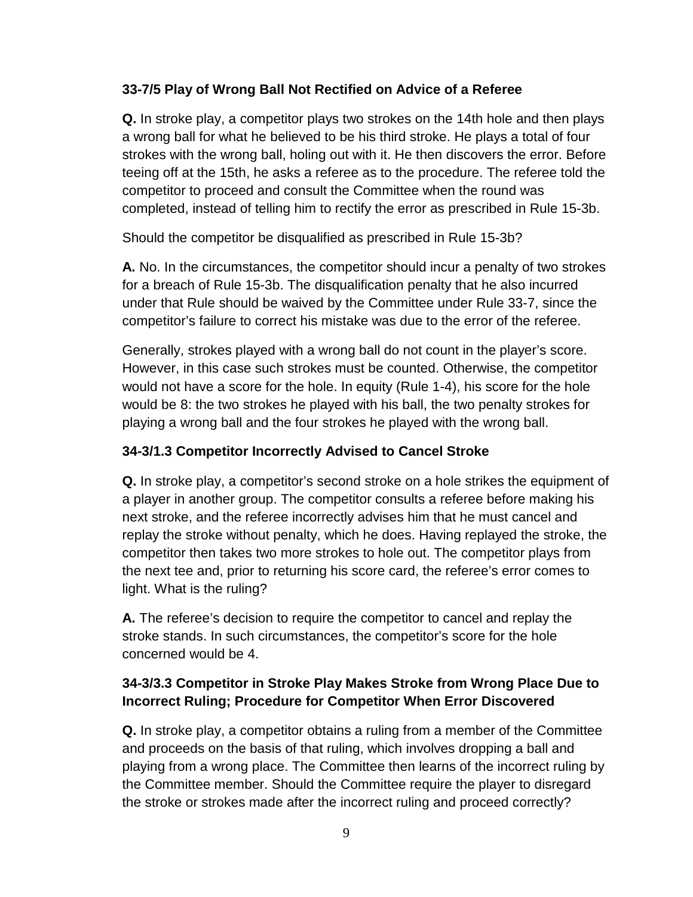#### **33-7/5 Play of Wrong Ball Not Rectified on Advice of a Referee**

**Q.** In stroke play, a competitor plays two strokes on the 14th hole and then plays a wrong ball for what he believed to be his third stroke. He plays a total of four strokes with the wrong ball, holing out with it. He then discovers the error. Before teeing off at the 15th, he asks a referee as to the procedure. The referee told the competitor to proceed and consult the Committee when the round was completed, instead of telling him to rectify the error as prescribed in Rule 15-3b.

Should the competitor be disqualified as prescribed in Rule 15-3b?

**A.** No. In the circumstances, the competitor should incur a penalty of two strokes for a breach of Rule 15-3b. The disqualification penalty that he also incurred under that Rule should be waived by the Committee under Rule 33-7, since the competitor's failure to correct his mistake was due to the error of the referee.

Generally, strokes played with a wrong ball do not count in the player's score. However, in this case such strokes must be counted. Otherwise, the competitor would not have a score for the hole. In equity (Rule 1-4), his score for the hole would be 8: the two strokes he played with his ball, the two penalty strokes for playing a wrong ball and the four strokes he played with the wrong ball.

### **34-3/1.3 Competitor Incorrectly Advised to Cancel Stroke**

**Q.** In stroke play, a competitor's second stroke on a hole strikes the equipment of a player in another group. The competitor consults a referee before making his next stroke, and the referee incorrectly advises him that he must cancel and replay the stroke without penalty, which he does. Having replayed the stroke, the competitor then takes two more strokes to hole out. The competitor plays from the next tee and, prior to returning his score card, the referee's error comes to light. What is the ruling?

**A.** The referee's decision to require the competitor to cancel and replay the stroke stands. In such circumstances, the competitor's score for the hole concerned would be 4.

### **34-3/3.3 Competitor in Stroke Play Makes Stroke from Wrong Place Due to Incorrect Ruling; Procedure for Competitor When Error Discovered**

**Q.** In stroke play, a competitor obtains a ruling from a member of the Committee and proceeds on the basis of that ruling, which involves dropping a ball and playing from a wrong place. The Committee then learns of the incorrect ruling by the Committee member. Should the Committee require the player to disregard the stroke or strokes made after the incorrect ruling and proceed correctly?